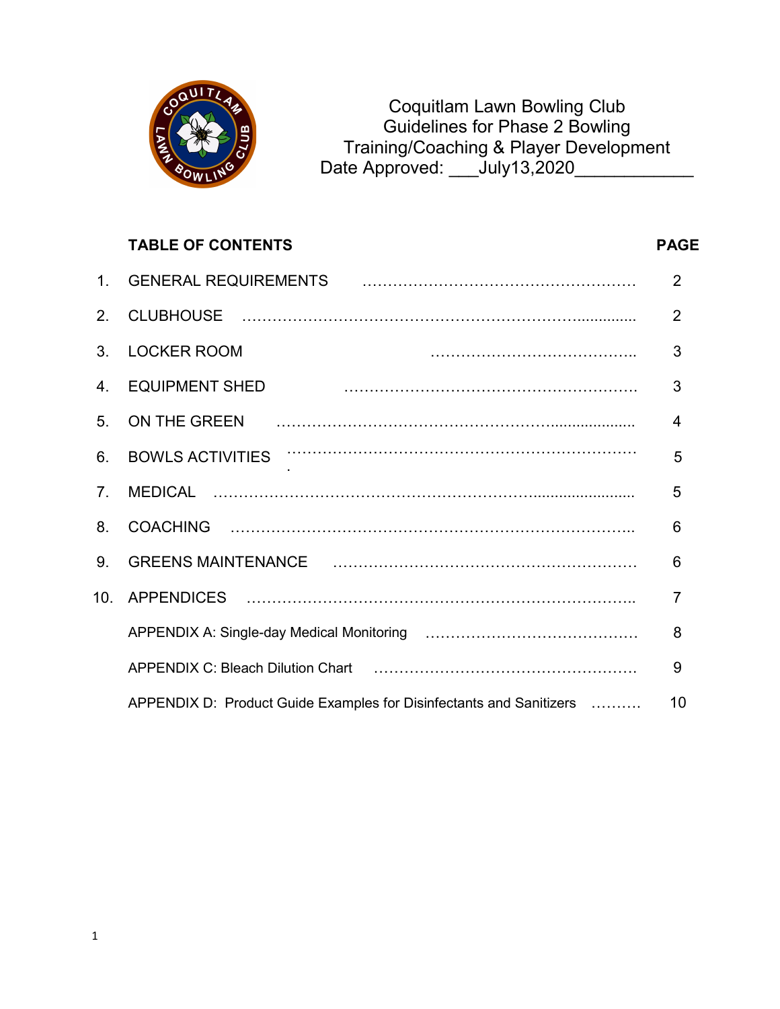

Coquitlam Lawn Bowling Club Guidelines for Phase 2 Bowling Training/Coaching & Player Development Date Approved: July13,2020

# TABLE OF CONTENTS PAGE 1. GENERAL REQUIREMENTS ……………………………………………… 2 2. CLUBHOUSE ………………………………………………………….............. 2 3. LOCKER ROOM ………………………………….. 3 4. EQUIPMENT SHED …………………………………………………. 3 5. ON THE GREEN ……………………………………………….................... 4 6. BOWLS ACTIVITIES …………………………………………………………… . 5 7. MEDICAL ………………………………………………………........................ 5 8. COACHING …………………………………………………………………….. 6 9. GREENS MAINTENANCE …………………………………………………… 6 10. APPENDICES ………………………………………………………………….. 7 APPENDIX A: Single-day Medical Monitoring …………………………………… 8 APPENDIX C: Bleach Dilution Chart ……………………………………………. 9 APPENDIX D: Product Guide Examples for Disinfectants and Sanitizers ………. 10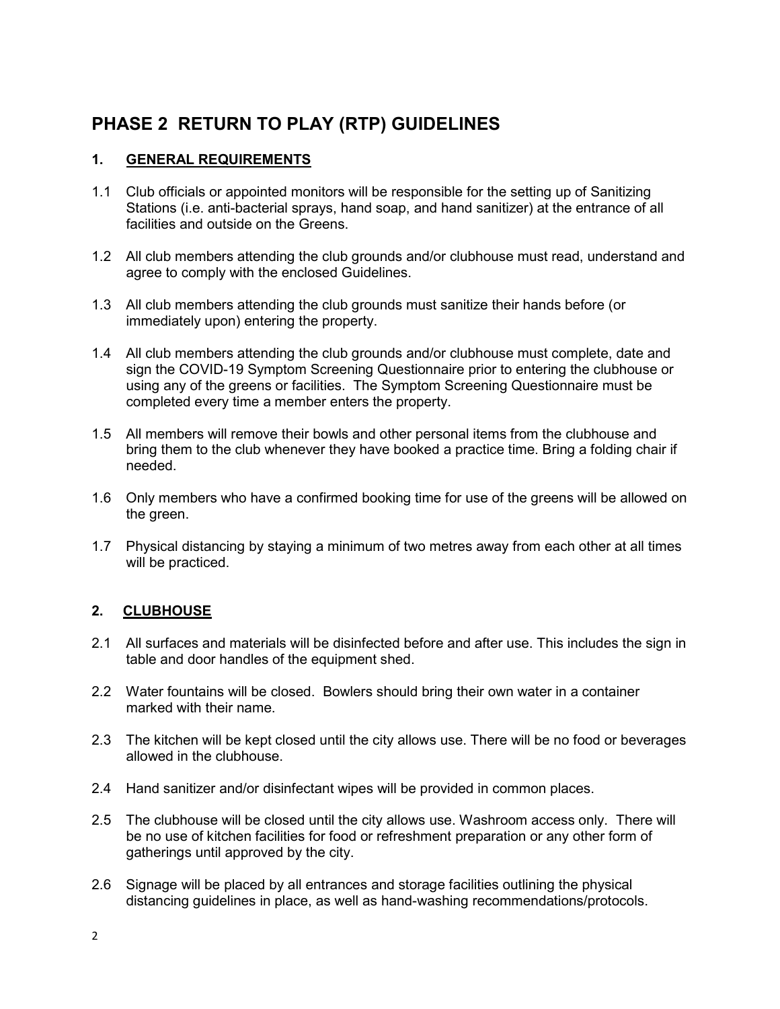## PHASE 2 RETURN TO PLAY (RTP) GUIDELINES

### 1. GENERAL REQUIREMENTS

- 1.1 Club officials or appointed monitors will be responsible for the setting up of Sanitizing Stations (i.e. anti-bacterial sprays, hand soap, and hand sanitizer) at the entrance of all facilities and outside on the Greens.
- 1.2 All club members attending the club grounds and/or clubhouse must read, understand and agree to comply with the enclosed Guidelines.
- 1.3 All club members attending the club grounds must sanitize their hands before (or immediately upon) entering the property.
- 1.4 All club members attending the club grounds and/or clubhouse must complete, date and sign the COVID-19 Symptom Screening Questionnaire prior to entering the clubhouse or using any of the greens or facilities. The Symptom Screening Questionnaire must be completed every time a member enters the property.
- 1.5 All members will remove their bowls and other personal items from the clubhouse and bring them to the club whenever they have booked a practice time. Bring a folding chair if needed.
- 1.6 Only members who have a confirmed booking time for use of the greens will be allowed on the green.
- 1.7 Physical distancing by staying a minimum of two metres away from each other at all times will be practiced.

#### 2. CLUBHOUSE

- 2.1 All surfaces and materials will be disinfected before and after use. This includes the sign in table and door handles of the equipment shed.
- 2.2 Water fountains will be closed. Bowlers should bring their own water in a container marked with their name.
- 2.3 The kitchen will be kept closed until the city allows use. There will be no food or beverages allowed in the clubhouse.
- 2.4 Hand sanitizer and/or disinfectant wipes will be provided in common places.
- 2.5 The clubhouse will be closed until the city allows use. Washroom access only. There will be no use of kitchen facilities for food or refreshment preparation or any other form of gatherings until approved by the city.
- 2.6 Signage will be placed by all entrances and storage facilities outlining the physical distancing guidelines in place, as well as hand-washing recommendations/protocols.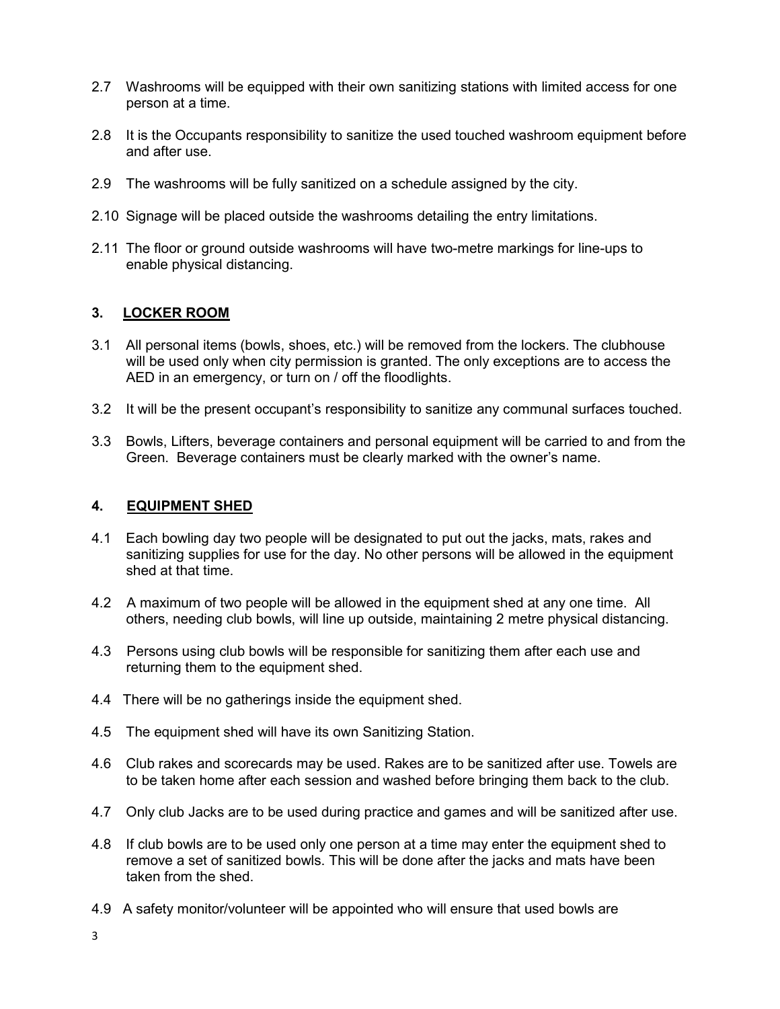- 2.7 Washrooms will be equipped with their own sanitizing stations with limited access for one person at a time.
- 2.8 It is the Occupants responsibility to sanitize the used touched washroom equipment before and after use.
- 2.9 The washrooms will be fully sanitized on a schedule assigned by the city.
- 2.10 Signage will be placed outside the washrooms detailing the entry limitations.
- 2.11 The floor or ground outside washrooms will have two-metre markings for line-ups to enable physical distancing.

#### 3. LOCKER ROOM

- 3.1 All personal items (bowls, shoes, etc.) will be removed from the lockers. The clubhouse will be used only when city permission is granted. The only exceptions are to access the AED in an emergency, or turn on / off the floodlights.
- 3.2 It will be the present occupant's responsibility to sanitize any communal surfaces touched.
- 3.3 Bowls, Lifters, beverage containers and personal equipment will be carried to and from the Green. Beverage containers must be clearly marked with the owner's name.

#### 4. EQUIPMENT SHED

- 4.1 Each bowling day two people will be designated to put out the jacks, mats, rakes and sanitizing supplies for use for the day. No other persons will be allowed in the equipment shed at that time.
- 4.2 A maximum of two people will be allowed in the equipment shed at any one time. All others, needing club bowls, will line up outside, maintaining 2 metre physical distancing.
- 4.3 Persons using club bowls will be responsible for sanitizing them after each use and returning them to the equipment shed.
- 4.4 There will be no gatherings inside the equipment shed.
- 4.5 The equipment shed will have its own Sanitizing Station.
- 4.6 Club rakes and scorecards may be used. Rakes are to be sanitized after use. Towels are to be taken home after each session and washed before bringing them back to the club.
- 4.7 Only club Jacks are to be used during practice and games and will be sanitized after use.
- 4.8 If club bowls are to be used only one person at a time may enter the equipment shed to remove a set of sanitized bowls. This will be done after the jacks and mats have been taken from the shed.
- 4.9 A safety monitor/volunteer will be appointed who will ensure that used bowls are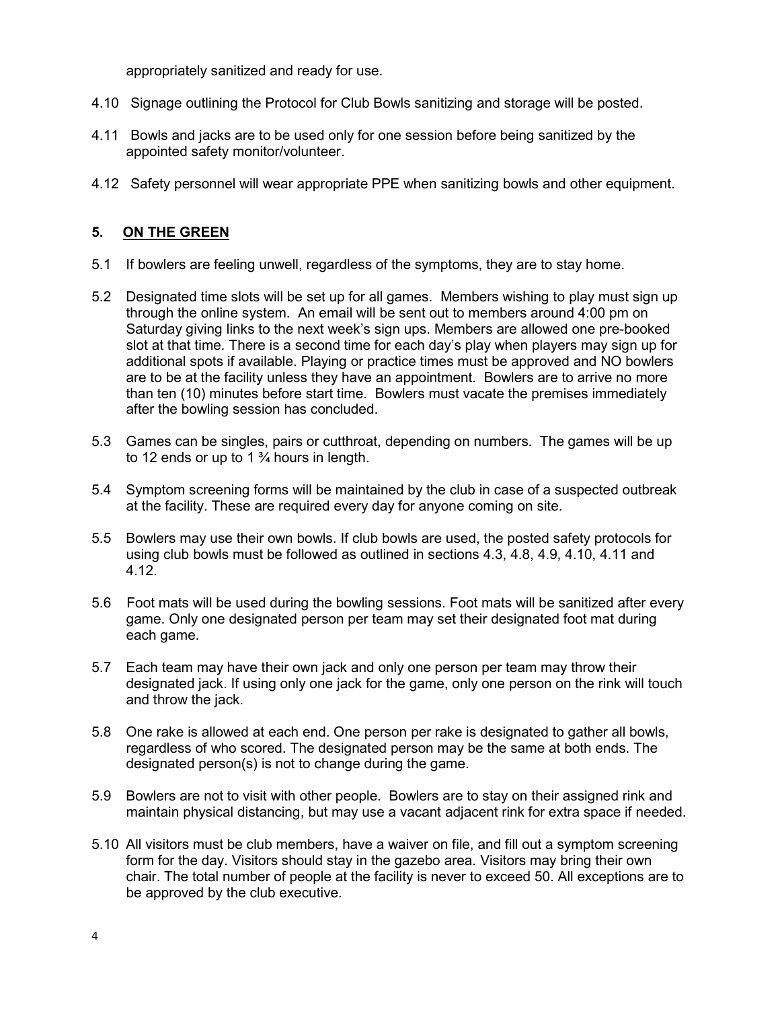appropriately sanitized and ready for use.

- 4.10 Signage outlining the Protocol for Club Bowls sanitizing and storage will be posted.
- 4.11 Bowls and jacks are to be used only for one session before being sanitized by the appointed safety monitor/volunteer.
- 4.12 Safety personnel will wear appropriate PPE when sanitizing bowls and other equipment.

#### 5. ON THE GREEN

- 5.1 If bowlers are feeling unwell, regardless of the symptoms, they are to stay home.
- 5.2 Designated time slots will be set up for all games. Members wishing to play must sign up through the online system. An email will be sent out to members around 4:00 pm on Saturday giving links to the next week's sign ups. Members are allowed one pre-booked slot at that time. There is a second time for each day's play when players may sign up for additional spots if available. Playing or practice times must be approved and NO bowlers are to be at the facility unless they have an appointment. Bowlers are to arrive no more than ten (10) minutes before start time. Bowlers must vacate the premises immediately after the bowling session has concluded.
- 5.3 Games can be singles, pairs or cutthroat, depending on numbers. The games will be up to 12 ends or up to 1 $\frac{3}{4}$  hours in length.
- 5.4 Symptom screening forms will be maintained by the club in case of a suspected outbreak at the facility. These are required every day for anyone coming on site.
- 5.5 Bowlers may use their own bowls. If club bowls are used, the posted safety protocols for using club bowls must be followed as outlined in sections 4.3, 4.8, 4.9, 4.10, 4.11 and 4.12.
- 5.6 Foot mats will be used during the bowling sessions. Foot mats will be sanitized after every game. Only one designated person per team may set their designated foot mat during each game.
- 5.7 Each team may have their own jack and only one person per team may throw their designated jack. If using only one jack for the game, only one person on the rink will touch and throw the jack.
- 5.8 One rake is allowed at each end. One person per rake is designated to gather all bowls, regardless of who scored. The designated person may be the same at both ends. The designated person(s) is not to change during the game.
- 5.9 Bowlers are not to visit with other people. Bowlers are to stay on their assigned rink and maintain physical distancing, but may use a vacant adjacent rink for extra space if needed.
- 5.10 All visitors must be club members, have a waiver on file, and fill out a symptom screening form for the day. Visitors should stay in the gazebo area. Visitors may bring their own chair. The total number of people at the facility is never to exceed 50. All exceptions are to be approved by the club executive.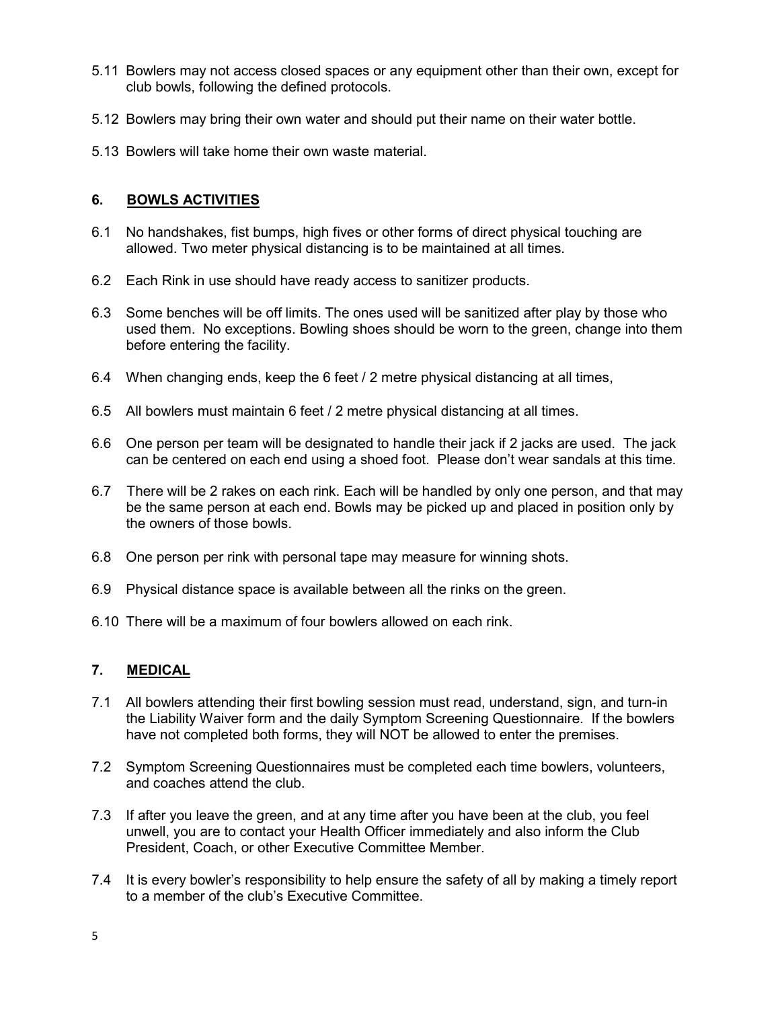- 5.11 Bowlers may not access closed spaces or any equipment other than their own, except for club bowls, following the defined protocols.
- 5.12 Bowlers may bring their own water and should put their name on their water bottle.
- 5.13 Bowlers will take home their own waste material.

#### 6. BOWLS ACTIVITIES

- 6.1 No handshakes, fist bumps, high fives or other forms of direct physical touching are allowed. Two meter physical distancing is to be maintained at all times.
- 6.2 Each Rink in use should have ready access to sanitizer products.
- 6.3 Some benches will be off limits. The ones used will be sanitized after play by those who used them. No exceptions. Bowling shoes should be worn to the green, change into them before entering the facility.
- 6.4 When changing ends, keep the 6 feet / 2 metre physical distancing at all times,
- 6.5 All bowlers must maintain 6 feet / 2 metre physical distancing at all times.
- 6.6 One person per team will be designated to handle their jack if 2 jacks are used. The jack can be centered on each end using a shoed foot. Please don't wear sandals at this time.
- 6.7 There will be 2 rakes on each rink. Each will be handled by only one person, and that may be the same person at each end. Bowls may be picked up and placed in position only by the owners of those bowls.
- 6.8 One person per rink with personal tape may measure for winning shots.
- 6.9 Physical distance space is available between all the rinks on the green.
- 6.10 There will be a maximum of four bowlers allowed on each rink.

#### 7. MEDICAL

- 7.1 All bowlers attending their first bowling session must read, understand, sign, and turn-in the Liability Waiver form and the daily Symptom Screening Questionnaire. If the bowlers have not completed both forms, they will NOT be allowed to enter the premises.
- 7.2 Symptom Screening Questionnaires must be completed each time bowlers, volunteers, and coaches attend the club.
- 7.3 If after you leave the green, and at any time after you have been at the club, you feel unwell, you are to contact your Health Officer immediately and also inform the Club President, Coach, or other Executive Committee Member.
- 7.4 It is every bowler's responsibility to help ensure the safety of all by making a timely report to a member of the club's Executive Committee.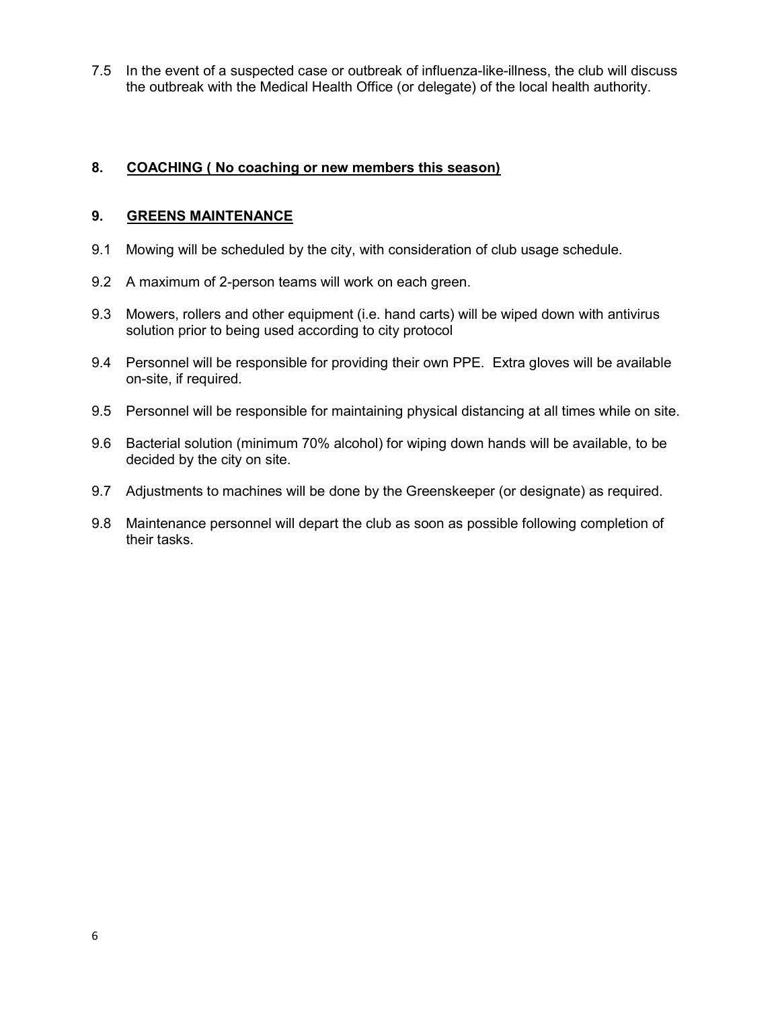7.5 In the event of a suspected case or outbreak of influenza-like-illness, the club will discuss the outbreak with the Medical Health Office (or delegate) of the local health authority.

#### 8. COACHING ( No coaching or new members this season)

#### 9. GREENS MAINTENANCE

- 9.1 Mowing will be scheduled by the city, with consideration of club usage schedule.
- 9.2 A maximum of 2-person teams will work on each green.
- 9.3 Mowers, rollers and other equipment (i.e. hand carts) will be wiped down with antivirus solution prior to being used according to city protocol
- 9.4 Personnel will be responsible for providing their own PPE. Extra gloves will be available on-site, if required.
- 9.5 Personnel will be responsible for maintaining physical distancing at all times while on site.
- 9.6 Bacterial solution (minimum 70% alcohol) for wiping down hands will be available, to be decided by the city on site.
- 9.7 Adjustments to machines will be done by the Greenskeeper (or designate) as required.
- 9.8 Maintenance personnel will depart the club as soon as possible following completion of their tasks.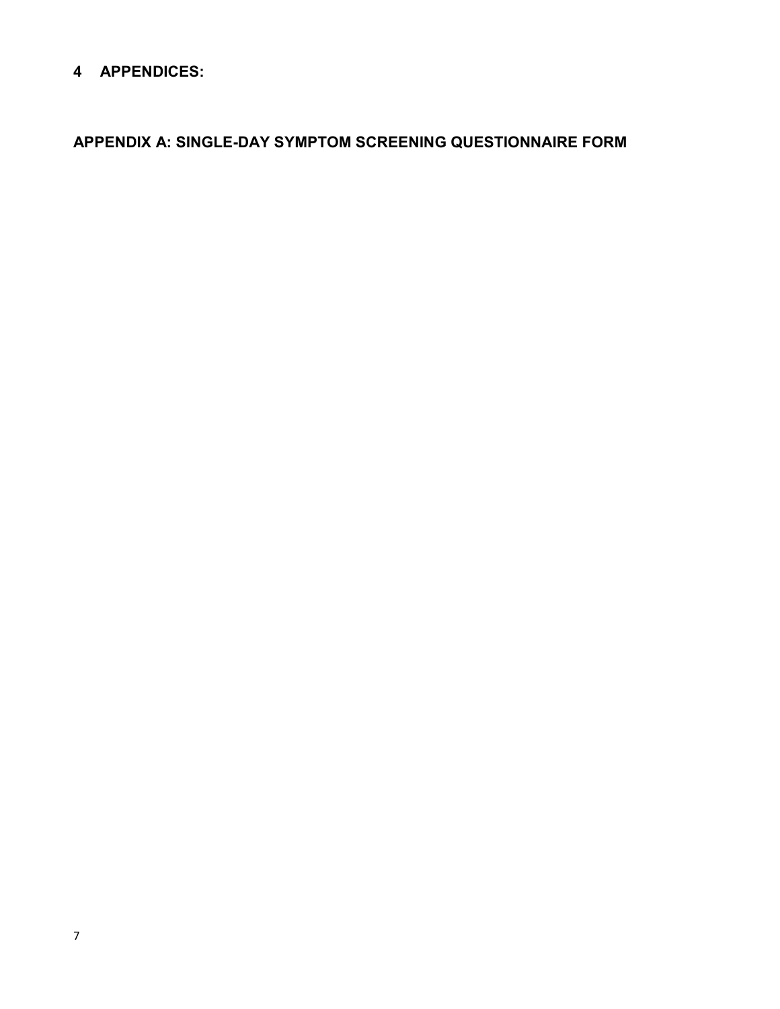## 4 APPENDICES:

APPENDIX A: SINGLE-DAY SYMPTOM SCREENING QUESTIONNAIRE FORM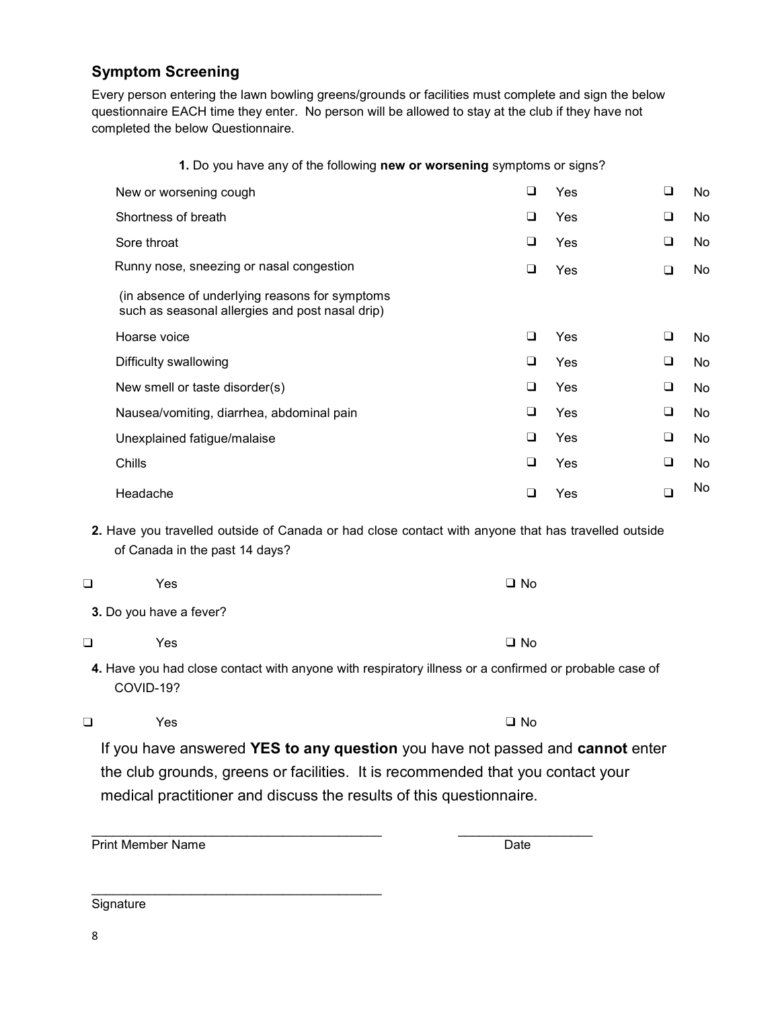## Symptom Screening

Every person entering the lawn bowling greens/grounds or facilities must complete and sign the below questionnaire EACH time they enter. No person will be allowed to stay at the club if they have not completed the below Questionnaire.

1. Do you have any of the following new or worsening symptoms or signs?

| New or worsening cough                                                                            | ❏ | Yes | ❏ | No. |
|---------------------------------------------------------------------------------------------------|---|-----|---|-----|
| Shortness of breath                                                                               | ❏ | Yes | ⊔ | No  |
| Sore throat                                                                                       | ❏ | Yes | ⊔ | No. |
| Runny nose, sneezing or nasal congestion                                                          | ❏ | Yes | ❏ | No. |
| (in absence of underlying reasons for symptoms<br>such as seasonal allergies and post nasal drip) |   |     |   |     |
| Hoarse voice                                                                                      | □ | Yes | ❏ | No. |
| Difficulty swallowing                                                                             | ❏ | Yes | ❏ | No. |
| New smell or taste disorder(s)                                                                    | ❏ | Yes | ❏ | No. |
| Nausea/vomiting, diarrhea, abdominal pain                                                         | ❏ | Yes | ❏ | No. |
| Unexplained fatigue/malaise                                                                       | ❏ | Yes | ❏ | No. |
| Chills                                                                                            | ❏ | Yes | ❏ | No. |
| Headache                                                                                          | u | Yes |   | No. |

2. Have you travelled outside of Canada or had close contact with anyone that has travelled outside of Canada in the past 14 days?

❑ Yes ❑ No

- 3. Do you have a fever?
- ❑ Yes ❑ No

4. Have you had close contact with anyone with respiratory illness or a confirmed or probable case of COVID-19?

❑ Yes ❑ No

If you have answered YES to any question you have not passed and cannot enter the club grounds, greens or facilities. It is recommended that you contact your medical practitioner and discuss the results of this questionnaire.

Print Member Name Date

**Signature**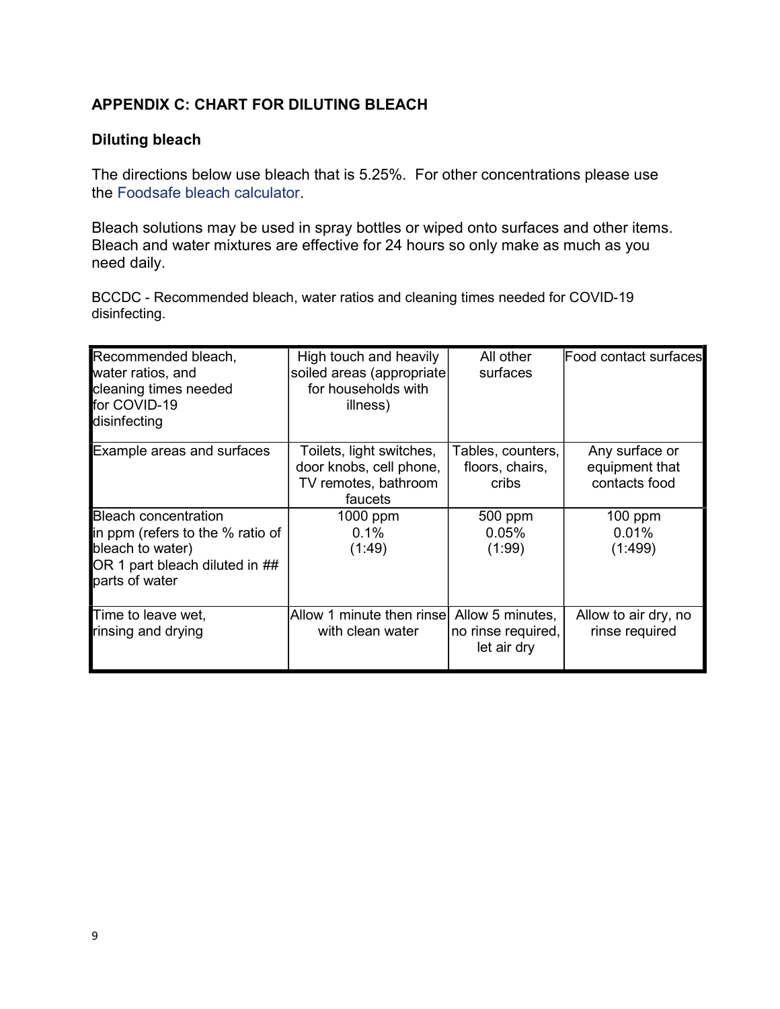## APPENDIX C: CHART FOR DILUTING BLEACH

## Diluting bleach

The directions below use bleach that is 5.25%. For other concentrations please use the Foodsafe bleach calculator.

Bleach solutions may be used in spray bottles or wiped onto surfaces and other items. Bleach and water mixtures are effective for 24 hours so only make as much as you need daily.

BCCDC - Recommended bleach, water ratios and cleaning times needed for COVID-19 disinfecting.

| Recommended bleach,<br>water ratios, and<br>cleaning times needed<br>for COVID-19<br>disinfecting                                       | High touch and heavily<br>soiled areas (appropriate<br>for households with<br>illness) | All other<br>surfaces                         | Food contact surfaces                             |
|-----------------------------------------------------------------------------------------------------------------------------------------|----------------------------------------------------------------------------------------|-----------------------------------------------|---------------------------------------------------|
| <b>Example areas and surfaces</b>                                                                                                       | Toilets, light switches,<br>door knobs, cell phone,<br>TV remotes, bathroom<br>faucets | Tables, counters,<br>floors, chairs,<br>cribs | Any surface or<br>equipment that<br>contacts food |
| <b>Bleach concentration</b><br>in ppm (refers to the % ratio of<br>bleach to water)<br>OR 1 part bleach diluted in ##<br>parts of water | 1000 ppm<br>0.1%<br>(1:49)                                                             | 500 ppm<br>0.05%<br>(1:99)                    | $100$ ppm<br>0.01%<br>(1:499)                     |
| Time to leave wet,<br>rinsing and drying                                                                                                | Allow 1 minute then rinse Allow 5 minutes,<br>with clean water                         | no rinse required,<br>let air dry             | Allow to air dry, no<br>rinse required            |